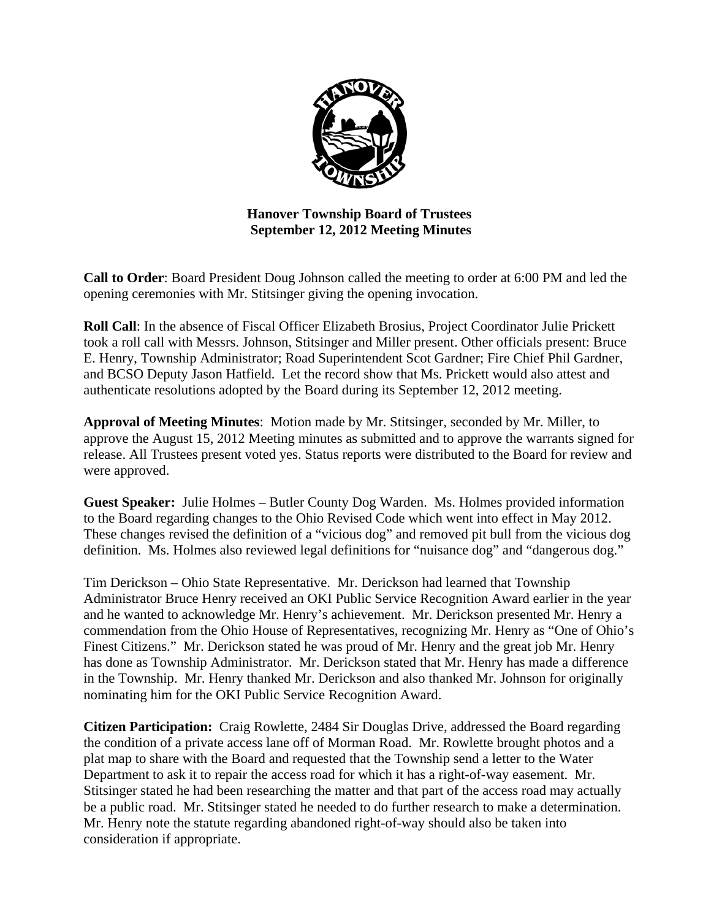

# **Hanover Township Board of Trustees September 12, 2012 Meeting Minutes**

**Call to Order**: Board President Doug Johnson called the meeting to order at 6:00 PM and led the opening ceremonies with Mr. Stitsinger giving the opening invocation.

**Roll Call**: In the absence of Fiscal Officer Elizabeth Brosius, Project Coordinator Julie Prickett took a roll call with Messrs. Johnson, Stitsinger and Miller present. Other officials present: Bruce E. Henry, Township Administrator; Road Superintendent Scot Gardner; Fire Chief Phil Gardner, and BCSO Deputy Jason Hatfield. Let the record show that Ms. Prickett would also attest and authenticate resolutions adopted by the Board during its September 12, 2012 meeting.

**Approval of Meeting Minutes**: Motion made by Mr. Stitsinger, seconded by Mr. Miller, to approve the August 15, 2012 Meeting minutes as submitted and to approve the warrants signed for release. All Trustees present voted yes. Status reports were distributed to the Board for review and were approved.

**Guest Speaker:** Julie Holmes – Butler County Dog Warden. Ms. Holmes provided information to the Board regarding changes to the Ohio Revised Code which went into effect in May 2012. These changes revised the definition of a "vicious dog" and removed pit bull from the vicious dog definition. Ms. Holmes also reviewed legal definitions for "nuisance dog" and "dangerous dog."

Tim Derickson – Ohio State Representative. Mr. Derickson had learned that Township Administrator Bruce Henry received an OKI Public Service Recognition Award earlier in the year and he wanted to acknowledge Mr. Henry's achievement. Mr. Derickson presented Mr. Henry a commendation from the Ohio House of Representatives, recognizing Mr. Henry as "One of Ohio's Finest Citizens." Mr. Derickson stated he was proud of Mr. Henry and the great job Mr. Henry has done as Township Administrator. Mr. Derickson stated that Mr. Henry has made a difference in the Township. Mr. Henry thanked Mr. Derickson and also thanked Mr. Johnson for originally nominating him for the OKI Public Service Recognition Award.

**Citizen Participation:** Craig Rowlette, 2484 Sir Douglas Drive, addressed the Board regarding the condition of a private access lane off of Morman Road. Mr. Rowlette brought photos and a plat map to share with the Board and requested that the Township send a letter to the Water Department to ask it to repair the access road for which it has a right-of-way easement. Mr. Stitsinger stated he had been researching the matter and that part of the access road may actually be a public road. Mr. Stitsinger stated he needed to do further research to make a determination. Mr. Henry note the statute regarding abandoned right-of-way should also be taken into consideration if appropriate.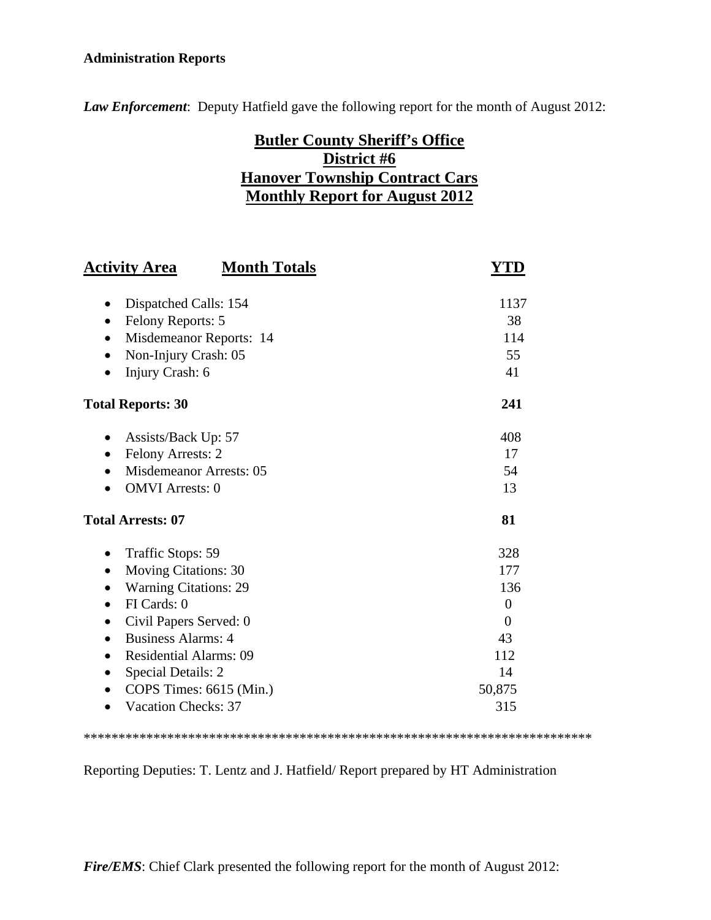# **Administration Reports**

*Law Enforcement*: Deputy Hatfield gave the following report for the month of August 2012:

# **Butler County Sheriff's Office District #6 Hanover Township Contract Cars Monthly Report for August 2012**

| <b>Activity Area</b><br><b>Month Totals</b> | YTD            |
|---------------------------------------------|----------------|
| Dispatched Calls: 154<br>$\bullet$          | 1137           |
| Felony Reports: 5<br>$\bullet$              | 38             |
| Misdemeanor Reports: 14<br>$\bullet$        | 114            |
| Non-Injury Crash: 05                        | 55             |
| Injury Crash: 6                             | 41             |
| <b>Total Reports: 30</b>                    | 241            |
| Assists/Back Up: 57<br>$\bullet$            | 408            |
| Felony Arrests: 2<br>$\bullet$              | 17             |
| <b>Misdemeanor Arrests: 05</b>              | 54             |
| <b>OMVI</b> Arrests: 0                      | 13             |
| <b>Total Arrests: 07</b>                    | 81             |
| Traffic Stops: 59<br>$\bullet$              | 328            |
| <b>Moving Citations: 30</b><br>$\bullet$    | 177            |
| <b>Warning Citations: 29</b><br>$\bullet$   | 136            |
| FI Cards: 0<br>$\bullet$                    | $\overline{0}$ |
| Civil Papers Served: 0                      | 0              |
| <b>Business Alarms: 4</b><br>$\bullet$      | 43             |
| <b>Residential Alarms: 09</b><br>$\bullet$  | 112            |
| Special Details: 2<br>$\bullet$             | 14             |
| COPS Times: 6615 (Min.)                     | 50,875         |
| <b>Vacation Checks: 37</b>                  | 315            |

\*\*\*\*\*\*\*\*\*\*\*\*\*\*\*\*\*\*\*\*\*\*\*\*\*\*\*\*\*\*\*\*\*\*\*\*\*\*\*\*\*\*\*\*\*\*\*\*\*\*\*\*\*\*\*\*\*\*\*\*\*\*\*\*\*\*\*\*\*\*\*\*\*

Reporting Deputies: T. Lentz and J. Hatfield/ Report prepared by HT Administration

*Fire/EMS*: Chief Clark presented the following report for the month of August 2012: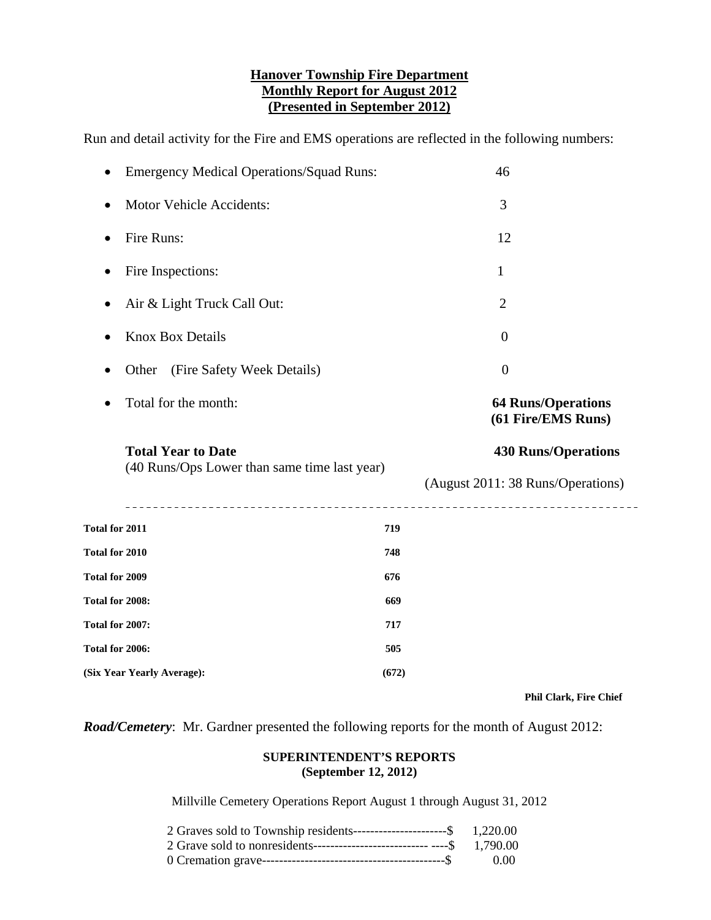## **Hanover Township Fire Department Monthly Report for August 2012 (Presented in September 2012)**

Run and detail activity for the Fire and EMS operations are reflected in the following numbers:

|                                                                                          | <b>Emergency Medical Operations/Squad Runs:</b>                           |     | 46                                                              |
|------------------------------------------------------------------------------------------|---------------------------------------------------------------------------|-----|-----------------------------------------------------------------|
| $\bullet$                                                                                | Motor Vehicle Accidents:                                                  |     | 3                                                               |
| ٠                                                                                        | Fire Runs:                                                                |     | 12                                                              |
|                                                                                          | Fire Inspections:                                                         |     | 1                                                               |
| $\bullet$                                                                                | Air & Light Truck Call Out:                                               |     | $\mathbf{2}$                                                    |
|                                                                                          | <b>Knox Box Details</b>                                                   |     | $\mathbf{0}$                                                    |
|                                                                                          | (Fire Safety Week Details)<br>Other                                       |     | $\overline{0}$                                                  |
| ٠                                                                                        | Total for the month:                                                      |     | <b>64 Runs/Operations</b><br>(61 Fire/EMS Runs)                 |
|                                                                                          |                                                                           |     |                                                                 |
|                                                                                          | <b>Total Year to Date</b><br>(40 Runs/Ops Lower than same time last year) |     | <b>430 Runs/Operations</b><br>(August 2011: 38 Runs/Operations) |
|                                                                                          |                                                                           | 719 |                                                                 |
|                                                                                          |                                                                           | 748 |                                                                 |
|                                                                                          |                                                                           | 676 |                                                                 |
|                                                                                          |                                                                           | 669 |                                                                 |
| Total for 2011<br>Total for 2010<br>Total for 2009<br>Total for 2008:<br>Total for 2007: |                                                                           | 717 |                                                                 |
| Total for 2006:                                                                          |                                                                           | 505 |                                                                 |

 **Phil Clark, Fire Chief** 

*Road/Cemetery*: Mr. Gardner presented the following reports for the month of August 2012:

#### **SUPERINTENDENT'S REPORTS (September 12, 2012)**

Millville Cemetery Operations Report August 1 through August 31, 2012

| 2 Graves sold to Township residents-----------------------\$ $1,220.00$    |      |
|----------------------------------------------------------------------------|------|
| 2 Grave sold to nonresidents-----------------------------------\$ 1,790.00 |      |
|                                                                            | 0.00 |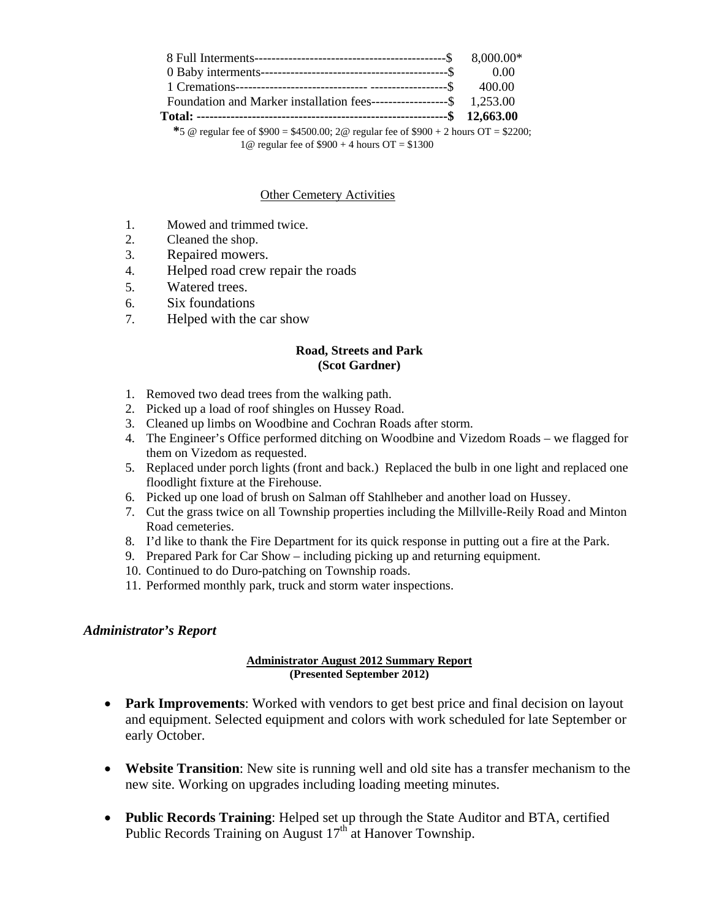| Foundation and Marker installation fees-------------------\$ 1,253.00                  |  |
|----------------------------------------------------------------------------------------|--|
|                                                                                        |  |
| *5 @ regular fee of \$900 = \$4500.00; 2 @ regular fee of \$900 + 2 hours OT = \$2200; |  |

1@ regular fee of \$900 + 4 hours OT = \$1300

#### Other Cemetery Activities

- 1. Mowed and trimmed twice.
- 2. Cleaned the shop.
- 3. Repaired mowers.
- 4. Helped road crew repair the roads
- 5. Watered trees.
- 6. Six foundations
- 7. Helped with the car show

#### **Road, Streets and Park (Scot Gardner)**

- 1. Removed two dead trees from the walking path.
- 2. Picked up a load of roof shingles on Hussey Road.
- 3. Cleaned up limbs on Woodbine and Cochran Roads after storm.
- 4. The Engineer's Office performed ditching on Woodbine and Vizedom Roads we flagged for them on Vizedom as requested.
- 5. Replaced under porch lights (front and back.) Replaced the bulb in one light and replaced one floodlight fixture at the Firehouse.
- 6. Picked up one load of brush on Salman off Stahlheber and another load on Hussey.
- 7. Cut the grass twice on all Township properties including the Millville-Reily Road and Minton Road cemeteries.
- 8. I'd like to thank the Fire Department for its quick response in putting out a fire at the Park.
- 9. Prepared Park for Car Show including picking up and returning equipment.
- 10. Continued to do Duro-patching on Township roads.
- 11. Performed monthly park, truck and storm water inspections.

#### *Administrator's Report*

#### **Administrator August 2012 Summary Report (Presented September 2012)**

- **Park Improvements**: Worked with vendors to get best price and final decision on layout and equipment. Selected equipment and colors with work scheduled for late September or early October.
- **Website Transition**: New site is running well and old site has a transfer mechanism to the new site. Working on upgrades including loading meeting minutes.
- **Public Records Training**: Helped set up through the State Auditor and BTA, certified Public Records Training on August  $17<sup>th</sup>$  at Hanover Township.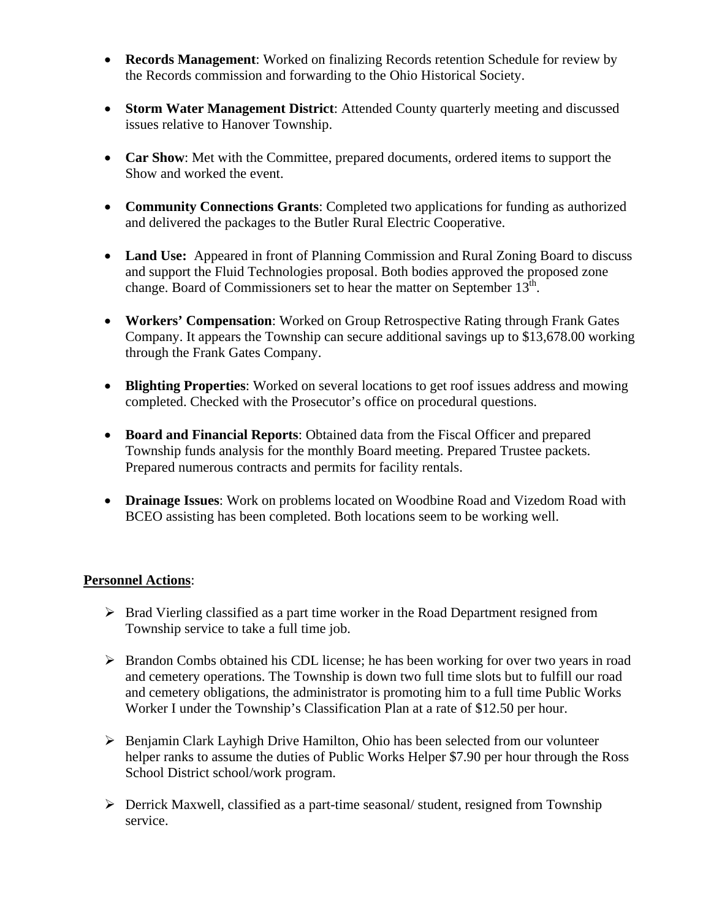- **Records Management**: Worked on finalizing Records retention Schedule for review by the Records commission and forwarding to the Ohio Historical Society.
- **Storm Water Management District**: Attended County quarterly meeting and discussed issues relative to Hanover Township.
- **Car Show**: Met with the Committee, prepared documents, ordered items to support the Show and worked the event.
- **Community Connections Grants**: Completed two applications for funding as authorized and delivered the packages to the Butler Rural Electric Cooperative.
- Land Use: Appeared in front of Planning Commission and Rural Zoning Board to discuss and support the Fluid Technologies proposal. Both bodies approved the proposed zone change. Board of Commissioners set to hear the matter on September  $13<sup>th</sup>$ .
- **Workers' Compensation**: Worked on Group Retrospective Rating through Frank Gates Company. It appears the Township can secure additional savings up to \$13,678.00 working through the Frank Gates Company.
- **Blighting Properties**: Worked on several locations to get roof issues address and mowing completed. Checked with the Prosecutor's office on procedural questions.
- **Board and Financial Reports**: Obtained data from the Fiscal Officer and prepared Township funds analysis for the monthly Board meeting. Prepared Trustee packets. Prepared numerous contracts and permits for facility rentals.
- **Drainage Issues**: Work on problems located on Woodbine Road and Vizedom Road with BCEO assisting has been completed. Both locations seem to be working well.

# **Personnel Actions**:

- $\triangleright$  Brad Vierling classified as a part time worker in the Road Department resigned from Township service to take a full time job.
- $\triangleright$  Brandon Combs obtained his CDL license; he has been working for over two years in road and cemetery operations. The Township is down two full time slots but to fulfill our road and cemetery obligations, the administrator is promoting him to a full time Public Works Worker I under the Township's Classification Plan at a rate of \$12.50 per hour.
- $\triangleright$  Benjamin Clark Layhigh Drive Hamilton, Ohio has been selected from our volunteer helper ranks to assume the duties of Public Works Helper \$7.90 per hour through the Ross School District school/work program.
- Derrick Maxwell, classified as a part-time seasonal/ student, resigned from Township service.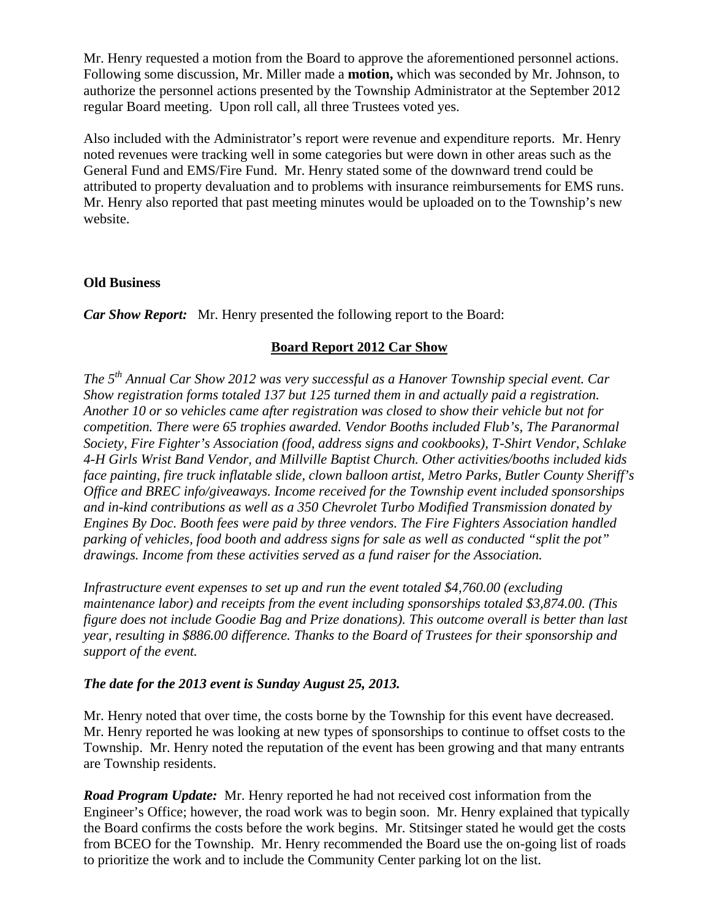Mr. Henry requested a motion from the Board to approve the aforementioned personnel actions. Following some discussion, Mr. Miller made a **motion,** which was seconded by Mr. Johnson, to authorize the personnel actions presented by the Township Administrator at the September 2012 regular Board meeting. Upon roll call, all three Trustees voted yes.

Also included with the Administrator's report were revenue and expenditure reports. Mr. Henry noted revenues were tracking well in some categories but were down in other areas such as the General Fund and EMS/Fire Fund. Mr. Henry stated some of the downward trend could be attributed to property devaluation and to problems with insurance reimbursements for EMS runs. Mr. Henry also reported that past meeting minutes would be uploaded on to the Township's new website.

#### **Old Business**

*Car Show Report:* Mr. Henry presented the following report to the Board:

#### **Board Report 2012 Car Show**

*The 5th Annual Car Show 2012 was very successful as a Hanover Township special event. Car Show registration forms totaled 137 but 125 turned them in and actually paid a registration. Another 10 or so vehicles came after registration was closed to show their vehicle but not for competition. There were 65 trophies awarded. Vendor Booths included Flub's, The Paranormal Society, Fire Fighter's Association (food, address signs and cookbooks), T-Shirt Vendor, Schlake 4-H Girls Wrist Band Vendor, and Millville Baptist Church. Other activities/booths included kids face painting, fire truck inflatable slide, clown balloon artist, Metro Parks, Butler County Sheriff's Office and BREC info/giveaways. Income received for the Township event included sponsorships and in-kind contributions as well as a 350 Chevrolet Turbo Modified Transmission donated by Engines By Doc. Booth fees were paid by three vendors. The Fire Fighters Association handled parking of vehicles, food booth and address signs for sale as well as conducted "split the pot" drawings. Income from these activities served as a fund raiser for the Association.* 

*Infrastructure event expenses to set up and run the event totaled \$4,760.00 (excluding maintenance labor) and receipts from the event including sponsorships totaled \$3,874.00. (This figure does not include Goodie Bag and Prize donations). This outcome overall is better than last year, resulting in \$886.00 difference. Thanks to the Board of Trustees for their sponsorship and support of the event.* 

#### *The date for the 2013 event is Sunday August 25, 2013.*

Mr. Henry noted that over time, the costs borne by the Township for this event have decreased. Mr. Henry reported he was looking at new types of sponsorships to continue to offset costs to the Township. Mr. Henry noted the reputation of the event has been growing and that many entrants are Township residents.

*Road Program Update:* Mr. Henry reported he had not received cost information from the Engineer's Office; however, the road work was to begin soon. Mr. Henry explained that typically the Board confirms the costs before the work begins. Mr. Stitsinger stated he would get the costs from BCEO for the Township. Mr. Henry recommended the Board use the on-going list of roads to prioritize the work and to include the Community Center parking lot on the list.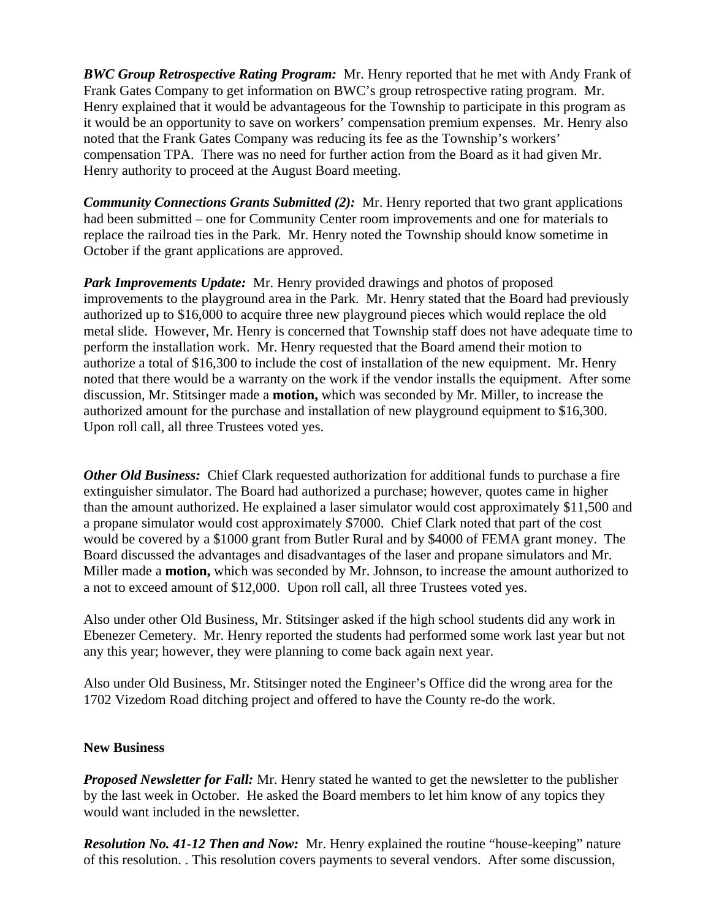*BWC Group Retrospective Rating Program:* Mr. Henry reported that he met with Andy Frank of Frank Gates Company to get information on BWC's group retrospective rating program. Mr. Henry explained that it would be advantageous for the Township to participate in this program as it would be an opportunity to save on workers' compensation premium expenses. Mr. Henry also noted that the Frank Gates Company was reducing its fee as the Township's workers' compensation TPA. There was no need for further action from the Board as it had given Mr. Henry authority to proceed at the August Board meeting.

*Community Connections Grants Submitted (2):* Mr. Henry reported that two grant applications had been submitted – one for Community Center room improvements and one for materials to replace the railroad ties in the Park. Mr. Henry noted the Township should know sometime in October if the grant applications are approved.

*Park Improvements Update:* Mr. Henry provided drawings and photos of proposed improvements to the playground area in the Park. Mr. Henry stated that the Board had previously authorized up to \$16,000 to acquire three new playground pieces which would replace the old metal slide. However, Mr. Henry is concerned that Township staff does not have adequate time to perform the installation work. Mr. Henry requested that the Board amend their motion to authorize a total of \$16,300 to include the cost of installation of the new equipment. Mr. Henry noted that there would be a warranty on the work if the vendor installs the equipment. After some discussion, Mr. Stitsinger made a **motion,** which was seconded by Mr. Miller, to increase the authorized amount for the purchase and installation of new playground equipment to \$16,300. Upon roll call, all three Trustees voted yes.

*Other Old Business:* Chief Clark requested authorization for additional funds to purchase a fire extinguisher simulator. The Board had authorized a purchase; however, quotes came in higher than the amount authorized. He explained a laser simulator would cost approximately \$11,500 and a propane simulator would cost approximately \$7000. Chief Clark noted that part of the cost would be covered by a \$1000 grant from Butler Rural and by \$4000 of FEMA grant money. The Board discussed the advantages and disadvantages of the laser and propane simulators and Mr. Miller made a **motion,** which was seconded by Mr. Johnson, to increase the amount authorized to a not to exceed amount of \$12,000. Upon roll call, all three Trustees voted yes.

Also under other Old Business, Mr. Stitsinger asked if the high school students did any work in Ebenezer Cemetery. Mr. Henry reported the students had performed some work last year but not any this year; however, they were planning to come back again next year.

Also under Old Business, Mr. Stitsinger noted the Engineer's Office did the wrong area for the 1702 Vizedom Road ditching project and offered to have the County re-do the work.

#### **New Business**

*Proposed Newsletter for Fall:* Mr. Henry stated he wanted to get the newsletter to the publisher by the last week in October. He asked the Board members to let him know of any topics they would want included in the newsletter.

*Resolution No. 41-12 Then and Now:* Mr. Henry explained the routine "house-keeping" nature of this resolution. . This resolution covers payments to several vendors. After some discussion,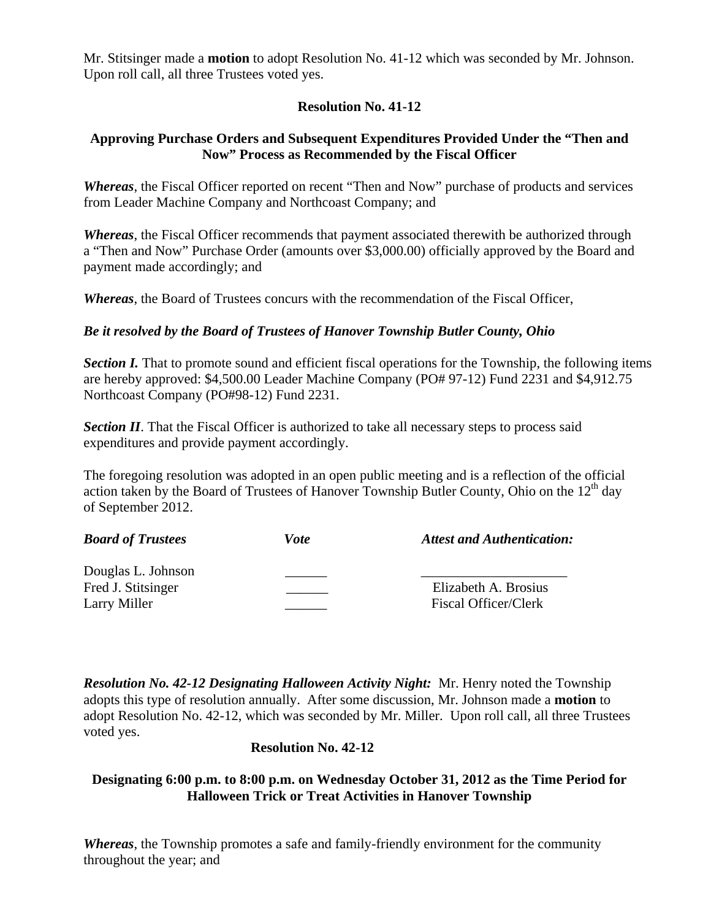Mr. Stitsinger made a **motion** to adopt Resolution No. 41-12 which was seconded by Mr. Johnson. Upon roll call, all three Trustees voted yes.

## **Resolution No. 41-12**

# **Approving Purchase Orders and Subsequent Expenditures Provided Under the "Then and Now" Process as Recommended by the Fiscal Officer**

*Whereas*, the Fiscal Officer reported on recent "Then and Now" purchase of products and services from Leader Machine Company and Northcoast Company; and

*Whereas*, the Fiscal Officer recommends that payment associated therewith be authorized through a "Then and Now" Purchase Order (amounts over \$3,000.00) officially approved by the Board and payment made accordingly; and

*Whereas*, the Board of Trustees concurs with the recommendation of the Fiscal Officer,

#### *Be it resolved by the Board of Trustees of Hanover Township Butler County, Ohio*

**Section I.** That to promote sound and efficient fiscal operations for the Township, the following items are hereby approved: \$4,500.00 Leader Machine Company (PO# 97-12) Fund 2231 and \$4,912.75 Northcoast Company (PO#98-12) Fund 2231.

**Section II**. That the Fiscal Officer is authorized to take all necessary steps to process said expenditures and provide payment accordingly.

The foregoing resolution was adopted in an open public meeting and is a reflection of the official action taken by the Board of Trustees of Hanover Township Butler County, Ohio on the  $12<sup>th</sup>$  day of September 2012.

| <b>Board of Trustees</b>                 | <i>Vote</i> | <b>Attest and Authentication:</b> |
|------------------------------------------|-------------|-----------------------------------|
| Douglas L. Johnson<br>Fred J. Stitsinger |             | Elizabeth A. Brosius              |
| Larry Miller                             |             | Fiscal Officer/Clerk              |

*Resolution No. 42-12 Designating Halloween Activity Night:* Mr. Henry noted the Township adopts this type of resolution annually. After some discussion, Mr. Johnson made a **motion** to adopt Resolution No. 42-12, which was seconded by Mr. Miller. Upon roll call, all three Trustees voted yes.

#### **Resolution No. 42-12**

## **Designating 6:00 p.m. to 8:00 p.m. on Wednesday October 31, 2012 as the Time Period for Halloween Trick or Treat Activities in Hanover Township**

*Whereas*, the Township promotes a safe and family-friendly environment for the community throughout the year; and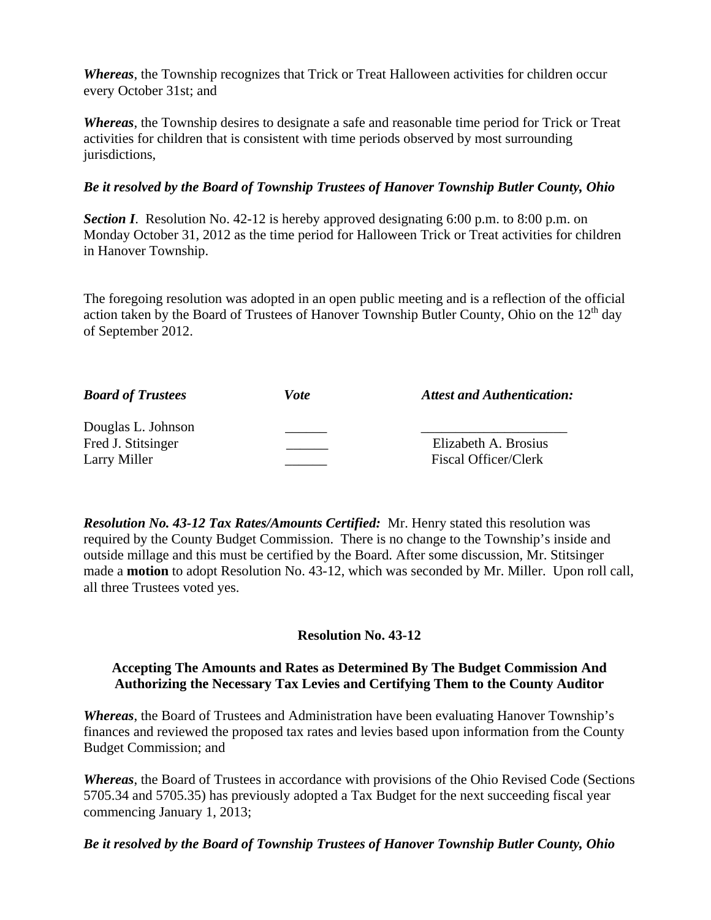*Whereas*, the Township recognizes that Trick or Treat Halloween activities for children occur every October 31st; and

*Whereas*, the Township desires to designate a safe and reasonable time period for Trick or Treat activities for children that is consistent with time periods observed by most surrounding jurisdictions,

# *Be it resolved by the Board of Township Trustees of Hanover Township Butler County, Ohio*

**Section I.** Resolution No. 42-12 is hereby approved designating 6:00 p.m. to 8:00 p.m. on Monday October 31, 2012 as the time period for Halloween Trick or Treat activities for children in Hanover Township.

The foregoing resolution was adopted in an open public meeting and is a reflection of the official action taken by the Board of Trustees of Hanover Township Butler County, Ohio on the  $12<sup>th</sup>$  day of September 2012.

| <b>Board of Trustees</b> | Vote | <b>Attest and Authentication:</b> |
|--------------------------|------|-----------------------------------|
| Douglas L. Johnson       |      |                                   |
| Fred J. Stitsinger       |      | Elizabeth A. Brosius              |
| Larry Miller             |      | <b>Fiscal Officer/Clerk</b>       |

*Resolution No. 43-12 Tax Rates/Amounts Certified:* Mr. Henry stated this resolution was required by the County Budget Commission. There is no change to the Township's inside and outside millage and this must be certified by the Board. After some discussion, Mr. Stitsinger made a **motion** to adopt Resolution No. 43-12, which was seconded by Mr. Miller. Upon roll call, all three Trustees voted yes.

# **Resolution No. 43-12**

## **Accepting The Amounts and Rates as Determined By The Budget Commission And Authorizing the Necessary Tax Levies and Certifying Them to the County Auditor**

*Whereas*, the Board of Trustees and Administration have been evaluating Hanover Township's finances and reviewed the proposed tax rates and levies based upon information from the County Budget Commission; and

*Whereas*, the Board of Trustees in accordance with provisions of the Ohio Revised Code (Sections 5705.34 and 5705.35) has previously adopted a Tax Budget for the next succeeding fiscal year commencing January 1, 2013;

# *Be it resolved by the Board of Township Trustees of Hanover Township Butler County, Ohio*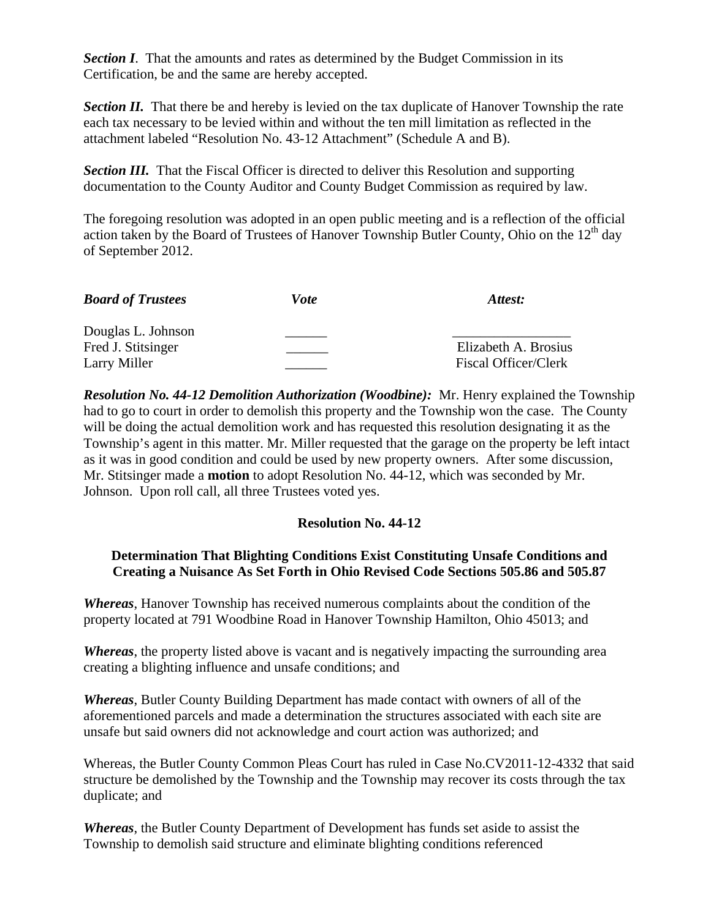**Section I.** That the amounts and rates as determined by the Budget Commission in its Certification, be and the same are hereby accepted.

**Section II.** That there be and hereby is levied on the tax duplicate of Hanover Township the rate each tax necessary to be levied within and without the ten mill limitation as reflected in the attachment labeled "Resolution No. 43-12 Attachment" (Schedule A and B).

*Section III.* That the Fiscal Officer is directed to deliver this Resolution and supporting documentation to the County Auditor and County Budget Commission as required by law.

The foregoing resolution was adopted in an open public meeting and is a reflection of the official action taken by the Board of Trustees of Hanover Township Butler County, Ohio on the  $12<sup>th</sup>$  day of September 2012.

| <b>Board of Trustees</b> | <i>Vote</i> | Attest:              |
|--------------------------|-------------|----------------------|
| Douglas L. Johnson       |             |                      |
| Fred J. Stitsinger       |             | Elizabeth A. Brosius |
| Larry Miller             |             | Fiscal Officer/Clerk |

*Resolution No. 44-12 Demolition Authorization (Woodbine):* Mr. Henry explained the Township had to go to court in order to demolish this property and the Township won the case. The County will be doing the actual demolition work and has requested this resolution designating it as the Township's agent in this matter. Mr. Miller requested that the garage on the property be left intact as it was in good condition and could be used by new property owners. After some discussion, Mr. Stitsinger made a **motion** to adopt Resolution No. 44-12, which was seconded by Mr. Johnson. Upon roll call, all three Trustees voted yes.

# **Resolution No. 44-12**

## **Determination That Blighting Conditions Exist Constituting Unsafe Conditions and Creating a Nuisance As Set Forth in Ohio Revised Code Sections 505.86 and 505.87**

*Whereas*, Hanover Township has received numerous complaints about the condition of the property located at 791 Woodbine Road in Hanover Township Hamilton, Ohio 45013; and

*Whereas*, the property listed above is vacant and is negatively impacting the surrounding area creating a blighting influence and unsafe conditions; and

*Whereas*, Butler County Building Department has made contact with owners of all of the aforementioned parcels and made a determination the structures associated with each site are unsafe but said owners did not acknowledge and court action was authorized; and

Whereas, the Butler County Common Pleas Court has ruled in Case No.CV2011-12-4332 that said structure be demolished by the Township and the Township may recover its costs through the tax duplicate; and

*Whereas*, the Butler County Department of Development has funds set aside to assist the Township to demolish said structure and eliminate blighting conditions referenced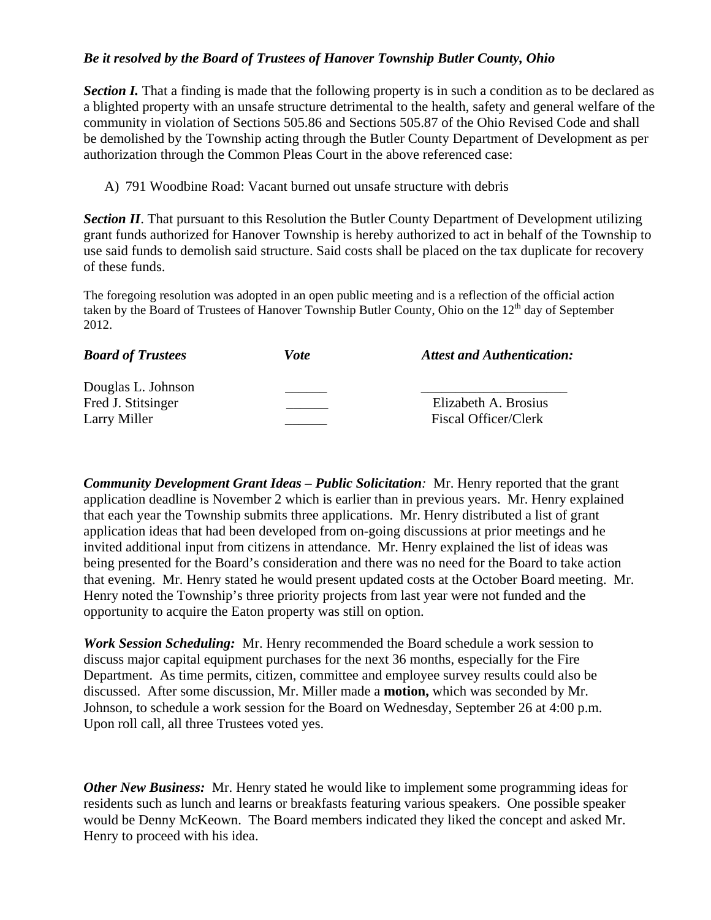# *Be it resolved by the Board of Trustees of Hanover Township Butler County, Ohio*

**Section I.** That a finding is made that the following property is in such a condition as to be declared as a blighted property with an unsafe structure detrimental to the health, safety and general welfare of the community in violation of Sections 505.86 and Sections 505.87 of the Ohio Revised Code and shall be demolished by the Township acting through the Butler County Department of Development as per authorization through the Common Pleas Court in the above referenced case:

A) 791 Woodbine Road: Vacant burned out unsafe structure with debris

*Section II*. That pursuant to this Resolution the Butler County Department of Development utilizing grant funds authorized for Hanover Township is hereby authorized to act in behalf of the Township to use said funds to demolish said structure. Said costs shall be placed on the tax duplicate for recovery of these funds.

The foregoing resolution was adopted in an open public meeting and is a reflection of the official action taken by the Board of Trustees of Hanover Township Butler County, Ohio on the  $12<sup>th</sup>$  day of September 2012.

| <b>Board of Trustees</b>                                 | Vote | <b>Attest and Authentication:</b>            |
|----------------------------------------------------------|------|----------------------------------------------|
| Douglas L. Johnson<br>Fred J. Stitsinger<br>Larry Miller |      | Elizabeth A. Brosius<br>Fiscal Officer/Clerk |

*Community Development Grant Ideas – Public Solicitation:* Mr. Henry reported that the grant application deadline is November 2 which is earlier than in previous years. Mr. Henry explained that each year the Township submits three applications. Mr. Henry distributed a list of grant application ideas that had been developed from on-going discussions at prior meetings and he invited additional input from citizens in attendance. Mr. Henry explained the list of ideas was being presented for the Board's consideration and there was no need for the Board to take action that evening. Mr. Henry stated he would present updated costs at the October Board meeting. Mr. Henry noted the Township's three priority projects from last year were not funded and the opportunity to acquire the Eaton property was still on option.

*Work Session Scheduling:* Mr. Henry recommended the Board schedule a work session to discuss major capital equipment purchases for the next 36 months, especially for the Fire Department. As time permits, citizen, committee and employee survey results could also be discussed. After some discussion, Mr. Miller made a **motion,** which was seconded by Mr. Johnson, to schedule a work session for the Board on Wednesday, September 26 at 4:00 p.m. Upon roll call, all three Trustees voted yes.

*Other New Business:* Mr. Henry stated he would like to implement some programming ideas for residents such as lunch and learns or breakfasts featuring various speakers. One possible speaker would be Denny McKeown. The Board members indicated they liked the concept and asked Mr. Henry to proceed with his idea.